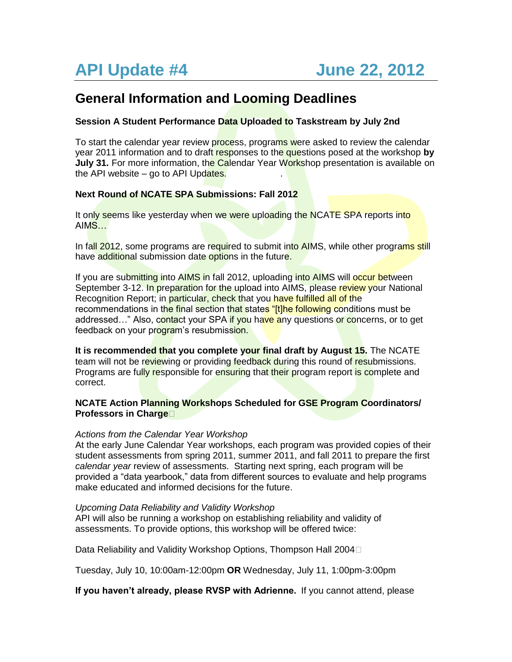# **General Information and Looming Deadlines**

# **Session A Student Performance Data Uploaded to Taskstream by July 2nd**

To start the calendar year review process, programs were asked to review the calendar year 2011 information and to draft responses to the questions posed at the workshop **by July 31.** For more information, the Calendar Year Workshop presentation is available on the API website  $-$  go to API Updates.

## **Next Round of NCATE SPA Submissions: Fall 2012**

It only seems like yesterday when we were uploading the NCATE SPA reports into AIMS…

In fall 2012, some programs are required to submit into AIMS, while other programs still have additional submission date options in the future.

If you are submitting into AIMS in fall 2012, uploading into AIMS will occur between September 3-12. In preparation for the upload into AIMS, please review your National Recognition Report; in particular, check that you have fulfilled all of the recommendations in the final section that states "[t]he following conditions must be addressed..." Also, contact your SPA if you have any questions or concerns, or to get feedback on your program's resubmission.

**It is recommended that you complete your final draft by August 15.** The NCATE team will not be reviewing or providing feedback during this round of resubmissions. Programs are fully responsible for ensuring that their program report is complete and correct.

## **NCATE Action Planning Workshops Scheduled for GSE Program Coordinators/ Professors in Charge**

#### *Actions from the Calendar Year Workshop*

At the early June Calendar Year workshops, each program was provided copies of their student assessments from spring 2011, summer 2011, and fall 2011 to prepare the first *calendar year* review of assessments. Starting next spring, each program will be provided a "data yearbook," data from different sources to evaluate and help programs make educated and informed decisions for the future.

#### *Upcoming Data Reliability and Validity Workshop*

API will also be running a workshop on establishing reliability and validity of assessments. To provide options, this workshop will be offered twice:

Data Reliability and Validity Workshop Options, Thompson Hall 2004

Tuesday, July 10, 10:00am-12:00pm **OR** Wednesday, July 11, 1:00pm-3:00pm

**If you haven't already, please RVSP with Adrienne.** If you cannot attend, please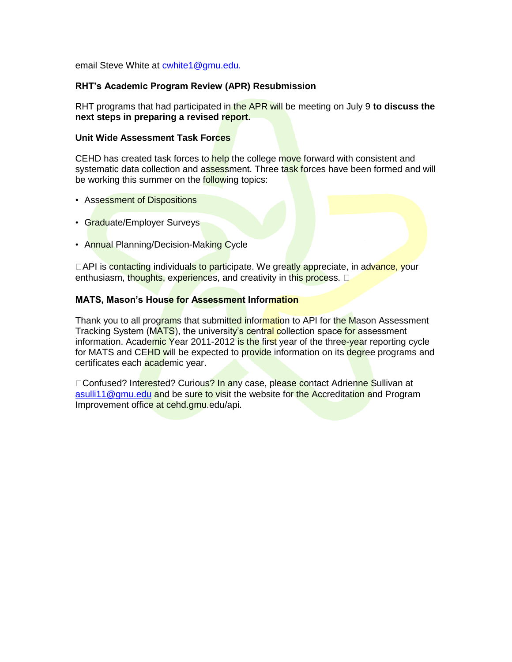email Steve White at cwhite1@gmu.edu.

## **RHT's Academic Program Review (APR) Resubmission**

RHT programs that had participated in the APR will be meeting on July 9 **to discuss the next steps in preparing a revised report.**

### **Unit Wide Assessment Task Forces**

CEHD has created task forces to help the college move forward with consistent and systematic data collection and assessment. Three task forces have been formed and will be working this summer on the following topics:

- Assessment of Dispositions
- Graduate/Employer Surveys
- Annual Planning/Decision-Making Cycle

□API is contacting individuals to participate. We greatly appreciate, in advance, your enthusiasm, thoughts, experiences, and creativity in this process.

# **MATS, Mason's House for Assessment Information**

Thank you to all programs that submitted information to API for the Mason Assessment Tracking System (MATS), the university's central collection space for assessment information. Academic Year 2011-2012 is the first year of the three-year reporting cycle for MATS and CEHD will be expected to provide information on its degree programs and certificates each academic year.

□Confused? Interested? Curious? In any case, please contact Adrienne Sullivan at [asulli11@gmu.edu](mailto:asulli11@gmu.edu) and be sure to visit the website for the Accreditation and Program Improvement office at cehd.gmu.edu/api.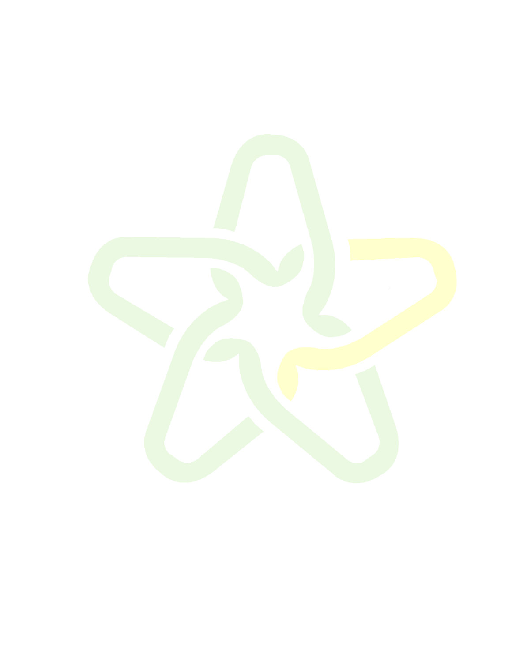